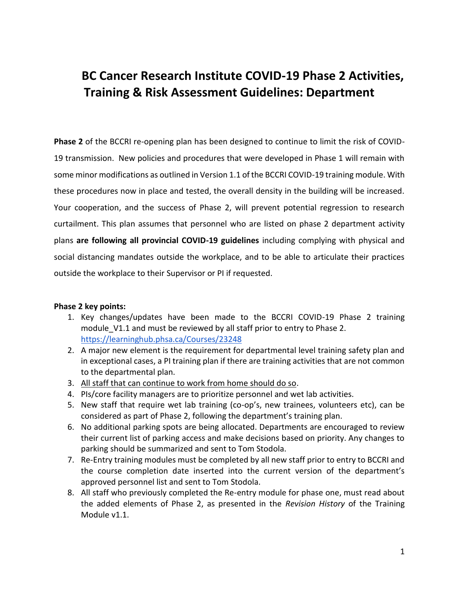# **BC Cancer Research Institute COVID-19 Phase 2 Activities, Training & Risk Assessment Guidelines: Department**

**Phase 2** of the BCCRI re-opening plan has been designed to continue to limit the risk of COVID-19 transmission. New policies and procedures that were developed in Phase 1 will remain with some minor modifications as outlined in Version 1.1 of the BCCRI COVID-19 training module. With these procedures now in place and tested, the overall density in the building will be increased. Your cooperation, and the success of Phase 2, will prevent potential regression to research curtailment. This plan assumes that personnel who are listed on phase 2 department activity plans **are following all provincial COVID-19 guidelines** including complying with physical and social distancing mandates outside the workplace, and to be able to articulate their practices outside the workplace to their Supervisor or PI if requested.

#### **Phase 2 key points:**

- 1. Key changes/updates have been made to the BCCRI COVID-19 Phase 2 training module\_V1.1 and must be reviewed by all staff prior to entry to Phase 2. <https://learninghub.phsa.ca/Courses/23248>
- 2. A major new element is the requirement for departmental level training safety plan and in exceptional cases, a PI training plan if there are training activities that are not common to the departmental plan.
- 3. All staff that can continue to work from home should do so.
- 4. PIs/core facility managers are to prioritize personnel and wet lab activities.
- 5. New staff that require wet lab training (co-op's, new trainees, volunteers etc), can be considered as part of Phase 2, following the department's training plan.
- 6. No additional parking spots are being allocated. Departments are encouraged to review their current list of parking access and make decisions based on priority. Any changes to parking should be summarized and sent to Tom Stodola.
- 7. Re-Entry training modules must be completed by all new staff prior to entry to BCCRI and the course completion date inserted into the current version of the department's approved personnel list and sent to Tom Stodola.
- 8. All staff who previously completed the Re-entry module for phase one, must read about the added elements of Phase 2, as presented in the *Revision History* of the Training Module v1.1.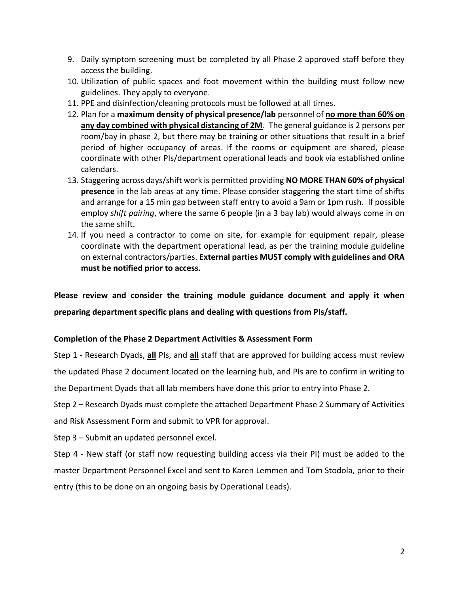- 9. Daily symptom screening must be completed by all Phase 2 approved staff before they access the building.
- 10. Utilization of public spaces and foot movement within the building must follow new guidelines. They apply to everyone.
- 11. PPE and disinfection/cleaning protocols must be followed at all times.
- 12. Plan for a **maximum density of physical presence/lab** personnel of **no more than 60% on any day combined with physical distancing of 2M**. The general guidance is 2 persons per room/bay in phase 2, but there may be training or other situations that result in a brief period of higher occupancy of areas. If the rooms or equipment are shared, please coordinate with other PIs/department operational leads and book via established online calendars.
- 13. Staggering across days/shift work is permitted providing **NO MORE THAN 60% of physical presence** in the lab areas at any time. Please consider staggering the start time of shifts and arrange for a 15 min gap between staff entry to avoid a 9am or 1pm rush. If possible employ *shift pairing*, where the same 6 people (in a 3 bay lab) would always come in on the same shift.
- 14. If you need a contractor to come on site, for example for equipment repair, please coordinate with the department operational lead, as per the training module guideline on external contractors/parties. **External parties MUST comply with guidelines and ORA must be notified prior to access.**

**Please review and consider the training module guidance document and apply it when preparing department specific plans and dealing with questions from PIs/staff.** 

#### **Completion of the Phase 2 Department Activities & Assessment Form**

Step 1 - Research Dyads, **all** PIs, and **all** staff that are approved for building access must review the updated Phase 2 document located on the learning hub, and PIs are to confirm in writing to the Department Dyads that all lab members have done this prior to entry into Phase 2.

Step 2 – Research Dyads must complete the attached Department Phase 2 Summary of Activities and Risk Assessment Form and submit to VPR for approval.

Step 3 – Submit an updated personnel excel.

Step 4 - New staff (or staff now requesting building access via their PI) must be added to the master Department Personnel Excel and sent to Karen Lemmen and Tom Stodola, prior to their entry (this to be done on an ongoing basis by Operational Leads).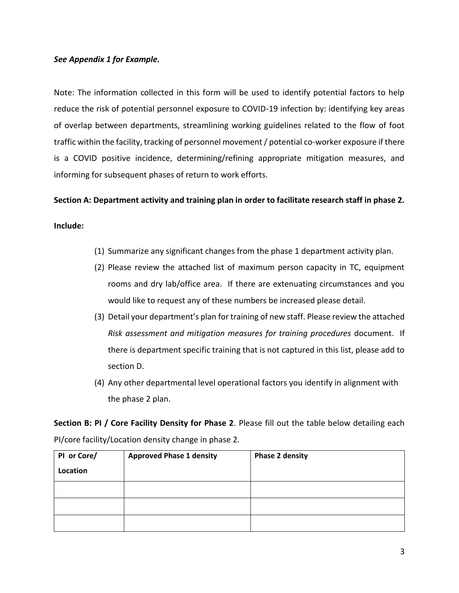#### *See Appendix 1 for Example.*

Note: The information collected in this form will be used to identify potential factors to help reduce the risk of potential personnel exposure to COVID-19 infection by: identifying key areas of overlap between departments, streamlining working guidelines related to the flow of foot traffic within the facility, tracking of personnel movement / potential co-worker exposure if there is a COVID positive incidence, determining/refining appropriate mitigation measures, and informing for subsequent phases of return to work efforts.

**Section A: Department activity and training plan in order to facilitate research staff in phase 2.** 

**Include:**

- (1) Summarize any significant changes from the phase 1 department activity plan.
- (2) Please review the attached list of maximum person capacity in TC, equipment rooms and dry lab/office area. If there are extenuating circumstances and you would like to request any of these numbers be increased please detail.
- (3) Detail your department's plan for training of new staff. Please review the attached *Risk assessment and mitigation measures for training procedures* document. If there is department specific training that is not captured in this list, please add to section D.
- (4) Any other departmental level operational factors you identify in alignment with the phase 2 plan.

**Section B: PI / Core Facility Density for Phase 2**. Please fill out the table below detailing each PI/core facility/Location density change in phase 2.

| PI or Core/ | <b>Approved Phase 1 density</b> | <b>Phase 2 density</b> |
|-------------|---------------------------------|------------------------|
| Location    |                                 |                        |
|             |                                 |                        |
|             |                                 |                        |
|             |                                 |                        |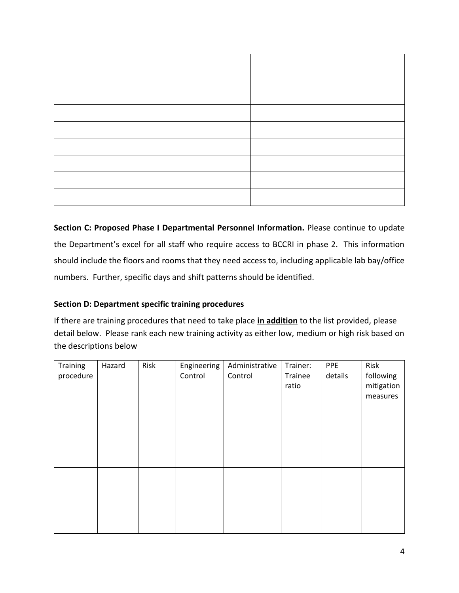**Section C: Proposed Phase I Departmental Personnel Information.** Please continue to update the Department's excel for all staff who require access to BCCRI in phase 2. This information should include the floors and rooms that they need access to, including applicable lab bay/office numbers. Further, specific days and shift patterns should be identified.

#### **Section D: Department specific training procedures**

If there are training procedures that need to take place **in addition** to the list provided, please detail below. Please rank each new training activity as either low, medium or high risk based on the descriptions below

| Training  | Hazard | Risk | Engineering | Administrative | Trainer: | <b>PPE</b> | Risk       |
|-----------|--------|------|-------------|----------------|----------|------------|------------|
| procedure |        |      | Control     | Control        | Trainee  | details    | following  |
|           |        |      |             |                | ratio    |            | mitigation |
|           |        |      |             |                |          |            | measures   |
|           |        |      |             |                |          |            |            |
|           |        |      |             |                |          |            |            |
|           |        |      |             |                |          |            |            |
|           |        |      |             |                |          |            |            |
|           |        |      |             |                |          |            |            |
|           |        |      |             |                |          |            |            |
|           |        |      |             |                |          |            |            |
|           |        |      |             |                |          |            |            |
|           |        |      |             |                |          |            |            |
|           |        |      |             |                |          |            |            |
|           |        |      |             |                |          |            |            |
|           |        |      |             |                |          |            |            |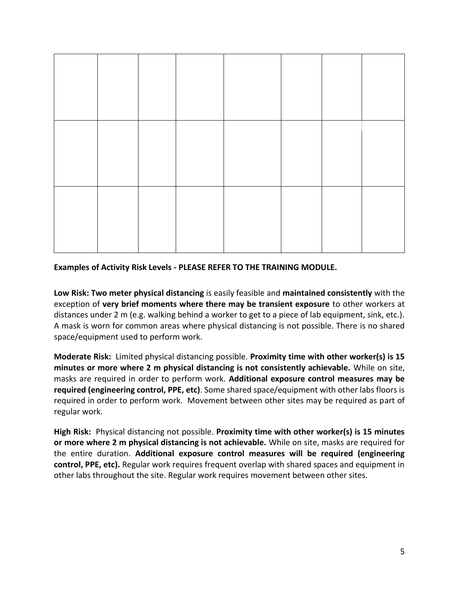

#### **Examples of Activity Risk Levels - PLEASE REFER TO THE TRAINING MODULE.**

**Low Risk: Two meter physical distancing** is easily feasible and **maintained consistently** with the exception of **very brief moments where there may be transient exposure** to other workers at distances under 2 m (e.g. walking behind a worker to get to a piece of lab equipment, sink, etc.). A mask is worn for common areas where physical distancing is not possible. There is no shared space/equipment used to perform work.

**Moderate Risk:** Limited physical distancing possible. **Proximity time with other worker(s) is 15 minutes or more where 2 m physical distancing is not consistently achievable.** While on site, masks are required in order to perform work. **Additional exposure control measures may be required (engineering control, PPE, etc)**. Some shared space/equipment with other labs floors is required in order to perform work. Movement between other sites may be required as part of regular work.

**High Risk:** Physical distancing not possible. **Proximity time with other worker(s) is 15 minutes or more where 2 m physical distancing is not achievable.** While on site, masks are required for the entire duration. **Additional exposure control measures will be required (engineering control, PPE, etc).** Regular work requires frequent overlap with shared spaces and equipment in other labs throughout the site. Regular work requires movement between other sites.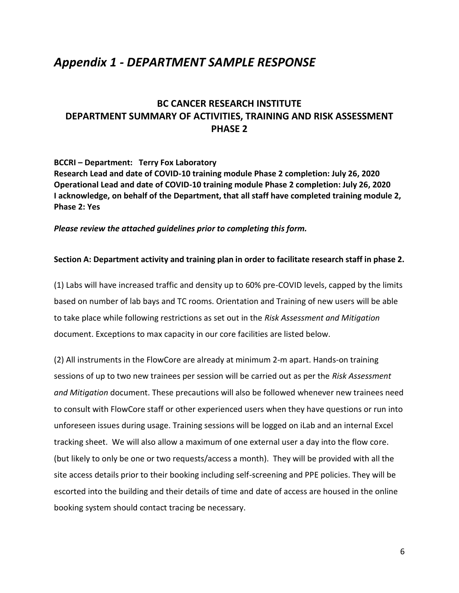## *Appendix 1 - DEPARTMENT SAMPLE RESPONSE*

### **BC CANCER RESEARCH INSTITUTE DEPARTMENT SUMMARY OF ACTIVITIES, TRAINING AND RISK ASSESSMENT PHASE 2**

**BCCRI – Department: Terry Fox Laboratory Research Lead and date of COVID-10 training module Phase 2 completion: July 26, 2020 Operational Lead and date of COVID-10 training module Phase 2 completion: July 26, 2020 I acknowledge, on behalf of the Department, that all staff have completed training module 2, Phase 2: Yes**

*Please review the attached guidelines prior to completing this form.*

#### **Section A: Department activity and training plan in order to facilitate research staff in phase 2.**

(1) Labs will have increased traffic and density up to 60% pre-COVID levels, capped by the limits based on number of lab bays and TC rooms. Orientation and Training of new users will be able to take place while following restrictions as set out in the *Risk Assessment and Mitigation* document. Exceptions to max capacity in our core facilities are listed below.

(2) All instruments in the FlowCore are already at minimum 2-m apart. Hands-on training sessions of up to two new trainees per session will be carried out as per the *Risk Assessment and Mitigation* document. These precautions will also be followed whenever new trainees need to consult with FlowCore staff or other experienced users when they have questions or run into unforeseen issues during usage. Training sessions will be logged on iLab and an internal Excel tracking sheet. We will also allow a maximum of one external user a day into the flow core. (but likely to only be one or two requests/access a month). They will be provided with all the site access details prior to their booking including self-screening and PPE policies. They will be escorted into the building and their details of time and date of access are housed in the online booking system should contact tracing be necessary.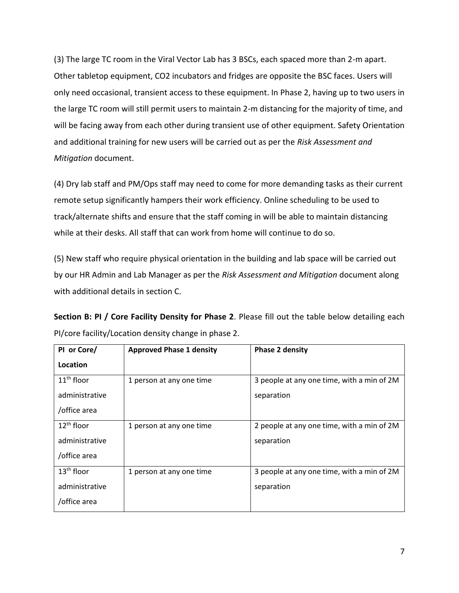(3) The large TC room in the Viral Vector Lab has 3 BSCs, each spaced more than 2-m apart. Other tabletop equipment, CO2 incubators and fridges are opposite the BSC faces. Users will only need occasional, transient access to these equipment. In Phase 2, having up to two users in the large TC room will still permit users to maintain 2-m distancing for the majority of time, and will be facing away from each other during transient use of other equipment. Safety Orientation and additional training for new users will be carried out as per the *Risk Assessment and Mitigation* document.

(4) Dry lab staff and PM/Ops staff may need to come for more demanding tasks as their current remote setup significantly hampers their work efficiency. Online scheduling to be used to track/alternate shifts and ensure that the staff coming in will be able to maintain distancing while at their desks. All staff that can work from home will continue to do so.

(5) New staff who require physical orientation in the building and lab space will be carried out by our HR Admin and Lab Manager as per the *Risk Assessment and Mitigation* document along with additional details in section C.

**Section B: PI / Core Facility Density for Phase 2**. Please fill out the table below detailing each PI/core facility/Location density change in phase 2.

| PI or Core/            | <b>Approved Phase 1 density</b> | <b>Phase 2 density</b>                     |
|------------------------|---------------------------------|--------------------------------------------|
| Location               |                                 |                                            |
| $11th$ floor           | 1 person at any one time        | 3 people at any one time, with a min of 2M |
| administrative         |                                 | separation                                 |
| /office area           |                                 |                                            |
| 12 <sup>th</sup> floor | 1 person at any one time        | 2 people at any one time, with a min of 2M |
| administrative         |                                 | separation                                 |
| /office area           |                                 |                                            |
| 13 <sup>th</sup> floor | 1 person at any one time        | 3 people at any one time, with a min of 2M |
| administrative         |                                 | separation                                 |
| /office area           |                                 |                                            |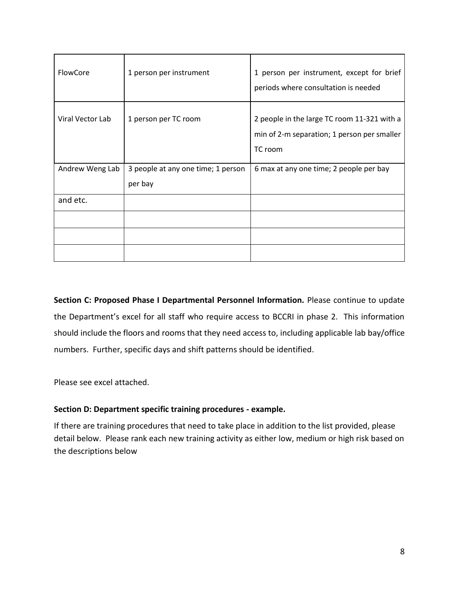| FlowCore         | 1 person per instrument                       | 1 person per instrument, except for brief<br>periods where consultation is needed                     |
|------------------|-----------------------------------------------|-------------------------------------------------------------------------------------------------------|
| Viral Vector Lab | 1 person per TC room                          | 2 people in the large TC room 11-321 with a<br>min of 2-m separation; 1 person per smaller<br>TC room |
| Andrew Weng Lab  | 3 people at any one time; 1 person<br>per bay | 6 max at any one time; 2 people per bay                                                               |
| and etc.         |                                               |                                                                                                       |
|                  |                                               |                                                                                                       |
|                  |                                               |                                                                                                       |
|                  |                                               |                                                                                                       |

**Section C: Proposed Phase I Departmental Personnel Information.** Please continue to update the Department's excel for all staff who require access to BCCRI in phase 2. This information should include the floors and rooms that they need access to, including applicable lab bay/office numbers. Further, specific days and shift patterns should be identified.

Please see excel attached.

#### **Section D: Department specific training procedures - example.**

If there are training procedures that need to take place in addition to the list provided, please detail below. Please rank each new training activity as either low, medium or high risk based on the descriptions below